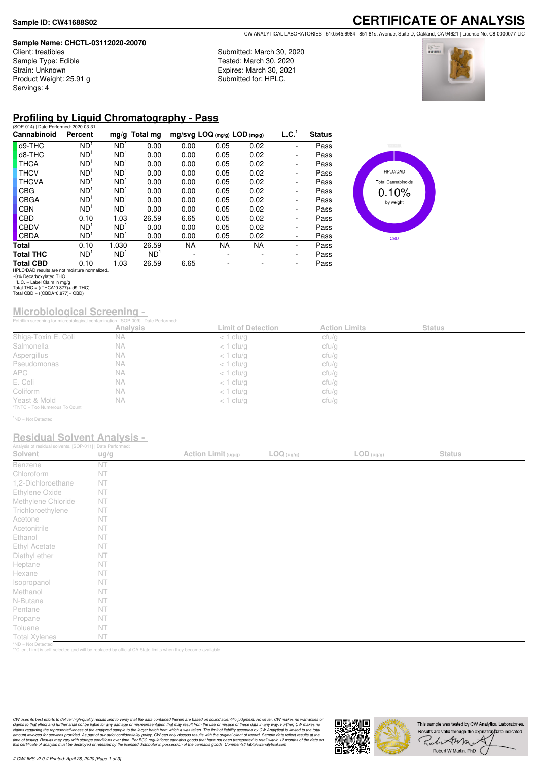#### **Sample Name: CHCTL-03112020-20070**

Client: treatibles Sample Type: Edible Strain: Unknown Product Weight: 25.91 g Servings: 4

### **CERTIFICATE OF ANALYSIS** CW ANALYTICAL LABORATORIES | 510.545.6984 | 851 81st Avenue, Suite D, Oakland, CA 94621 | License No. C8-0000077-LIC

Submitted: March 30, 2020 Tested: March 30, 2020 Expires: March 30, 2021 Submitted for: HPLC,



# **Profiling by Liquid Chromatography - Pass**

| (SOP-014)   Date Performed: 2020-03-31        |                 |                 |                 |                              |      |           |                              |               |
|-----------------------------------------------|-----------------|-----------------|-----------------|------------------------------|------|-----------|------------------------------|---------------|
| Cannabinoid                                   | Percent         |                 | $mg/g$ Total mg | mg/svg LOQ (mg/g) LOD (mg/g) |      |           | L.C. <sup>1</sup>            | <b>Status</b> |
| d9-THC                                        | ND <sup>1</sup> | ND <sup>1</sup> | 0.00            | 0.00                         | 0.05 | 0.02      | ۰                            | Pass          |
| d8-THC                                        | ND <sup>1</sup> | ND <sup>1</sup> | 0.00            | 0.00                         | 0.05 | 0.02      | $\qquad \qquad \blacksquare$ | Pass          |
| <b>THCA</b>                                   | ND <sup>1</sup> | ND <sup>1</sup> | 0.00            | 0.00                         | 0.05 | 0.02      | ۰                            | Pass          |
| <b>THCV</b>                                   | ND <sup>1</sup> | ND <sup>1</sup> | 0.00            | 0.00                         | 0.05 | 0.02      | $\qquad \qquad \blacksquare$ | Pass          |
| <b>THCVA</b>                                  | ND <sup>1</sup> | ND <sup>1</sup> | 0.00            | 0.00                         | 0.05 | 0.02      | $\overline{\phantom{0}}$     | Pass          |
| <b>CBG</b>                                    | ND <sup>1</sup> | ND <sup>1</sup> | 0.00            | 0.00                         | 0.05 | 0.02      | $\overline{\phantom{0}}$     | Pass          |
| <b>CBGA</b>                                   | ND <sup>1</sup> | ND <sup>1</sup> | 0.00            | 0.00                         | 0.05 | 0.02      | $\qquad \qquad \blacksquare$ | Pass          |
| <b>CBN</b>                                    | ND <sup>1</sup> | ND <sup>1</sup> | 0.00            | 0.00                         | 0.05 | 0.02      | ۰                            | Pass          |
| <b>CBD</b>                                    | 0.10            | 1.03            | 26.59           | 6.65                         | 0.05 | 0.02      | $\overline{\phantom{a}}$     | Pass          |
| <b>CBDV</b>                                   | ND <sup>1</sup> | ND <sup>1</sup> | 0.00            | 0.00                         | 0.05 | 0.02      | ۰                            | Pass          |
| <b>CBDA</b>                                   | ND <sup>1</sup> | ND <sup>1</sup> | 0.00            | 0.00                         | 0.05 | 0.02      | $\qquad \qquad \blacksquare$ | Pass          |
| Total                                         | 0.10            | 1.030           | 26.59           | <b>NA</b>                    | NA.  | <b>NA</b> | ٠                            | Pass          |
| <b>Total THC</b>                              | ND <sup>1</sup> | ND <sup>1</sup> | ND <sup>1</sup> |                              |      |           | ۰                            | Pass          |
| <b>Total CBD</b>                              | 0.10            | 1.03            | 26.59           | 6.65                         |      |           | ۰.                           | Pass          |
| HPLC/DAD results are not moisture normalized. |                 |                 |                 |                              |      |           |                              |               |



HPLC/DAD results are not moisture normalized. ~0% Decarboxylated THC 1 L.C. = Label Claim in mg/g Total THC = ((THCA\*0.877)+ d9-THC) Total CBD = ((CBDA\*0.877)+ CBD)

# **Microbiological Screening -**

|                               | Petriflim screening for microbiological contamination. [SOP-009]   Date Performed: |                           |                      |               |  |  |
|-------------------------------|------------------------------------------------------------------------------------|---------------------------|----------------------|---------------|--|--|
|                               | <b>Analysis</b>                                                                    | <b>Limit of Detection</b> | <b>Action Limits</b> | <b>Status</b> |  |  |
| Shiga-Toxin E. Coli           | <b>NA</b>                                                                          | $<$ 1 cfu/g               | cfu/g                |               |  |  |
| Salmonella                    | NА                                                                                 | $<$ 1 cfu/g               | cfu/g                |               |  |  |
| Aspergillus                   | NA                                                                                 | $<$ 1 cfu/g               | cfu/g                |               |  |  |
| Pseudomonas                   | <b>NA</b>                                                                          | $<$ 1 cfu/g               | cfu/g                |               |  |  |
| <b>APC</b>                    | NA.                                                                                | $<$ 1 cfu/g               | cfu/g                |               |  |  |
| E. Coli                       | N A                                                                                | $<$ 1 cfu/g               | cfu/g                |               |  |  |
| Coliform                      | <b>NA</b>                                                                          | $<$ 1 cfu/g               | cfu/g                |               |  |  |
| Yeast & Mold                  | <b>NA</b>                                                                          | $<$ 1 cfu/q               | ctu/q                |               |  |  |
| *TNTC = Too Numerous To Count |                                                                                    |                           |                      |               |  |  |

<sup>1</sup>ND = Not Detected

### **Residual Solvent Analysis -**

| Analysis of residual solvents. [SOP-011]   Date Performed: |      |                     |                     |                     |               |  |
|------------------------------------------------------------|------|---------------------|---------------------|---------------------|---------------|--|
| Solvent                                                    | ug/g | Action Limit (ug/g) | $\text{LOG (ug/g)}$ | $\text{LOD}$ (ug/g) | <b>Status</b> |  |
| Benzene                                                    | NT   |                     |                     |                     |               |  |
| Chloroform                                                 | NT   |                     |                     |                     |               |  |
| 1,2-Dichloroethane                                         | NT   |                     |                     |                     |               |  |
| Ethylene Oxide                                             | NT   |                     |                     |                     |               |  |
| Methylene Chloride                                         | NT   |                     |                     |                     |               |  |
| Trichloroethylene                                          | NT   |                     |                     |                     |               |  |
| Acetone                                                    | NT   |                     |                     |                     |               |  |
| Acetonitrile                                               | NT   |                     |                     |                     |               |  |
| Ethanol                                                    | NT   |                     |                     |                     |               |  |
| <b>Ethyl Acetate</b>                                       | NT   |                     |                     |                     |               |  |
| Diethyl ether                                              | NT   |                     |                     |                     |               |  |
| Heptane                                                    | NT   |                     |                     |                     |               |  |
| Hexane                                                     | NT   |                     |                     |                     |               |  |
| Isopropanol                                                | NT   |                     |                     |                     |               |  |
| Methanol                                                   | NT   |                     |                     |                     |               |  |
| N-Butane                                                   | NT   |                     |                     |                     |               |  |
| Pentane                                                    | NT   |                     |                     |                     |               |  |
| Propane                                                    | NT   |                     |                     |                     |               |  |
| Toluene                                                    | NT   |                     |                     |                     |               |  |
| <b>Total Xylenes</b>                                       | NT   |                     |                     |                     |               |  |
| *ND = Not Detected                                         |      |                     |                     |                     |               |  |

\*ND = Not Detected \*\*Client Limit is self-selected and will be replaced by official CA State limits when they become available

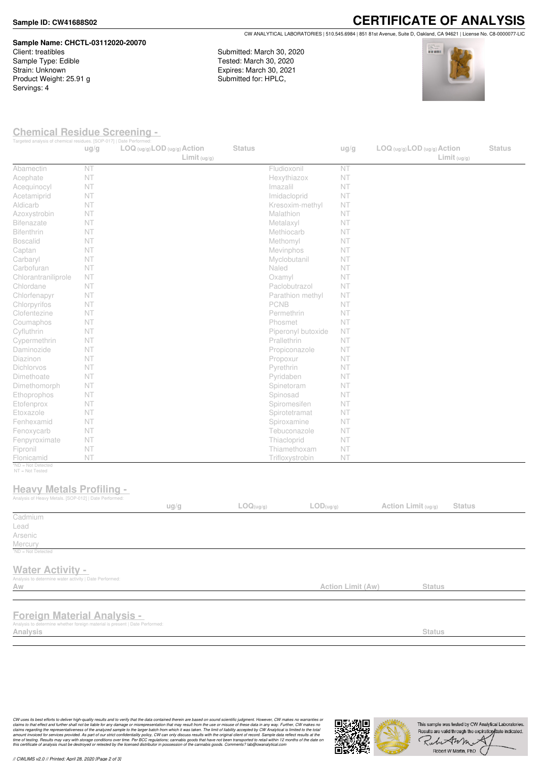#### **Sample ID: CW41688S02**

## **Sample Name: CHCTL-03112020-20070** Client: treatibles

Sample Type: Edible Strain: Unknown Product Weight: 25.91 g Servings: 4

**CERTIFICATE OF ANALYSIS** CW ANALYTICAL LABORATORIES | 510.545.6984 | 851 81st Avenue, Suite D, Oakland, CA 94621 | License No. C8-0000077-LIC

Submitted: March 30, 2020 Tested: March 30, 2020 Expires: March 30, 2021 Submitted for: HPLC,



### **Chemical Residue Screening -**

| Targeted analysis of chemical residues. [SOP-017]   Date Performed:                                                           | ug/g | $LOG (ug/g)$ <i>LOD</i> $(ug/g)$ <i>Action</i><br>Limit <sub>(ug/g)</sub> | <b>Status</b> |                               | ug/g                     | $LOG$ (ug/g) $LOD$ (ug/g) $Action$<br>Limit <sub>(ug/g)</sub> | <b>Status</b> |
|-------------------------------------------------------------------------------------------------------------------------------|------|---------------------------------------------------------------------------|---------------|-------------------------------|--------------------------|---------------------------------------------------------------|---------------|
| Abamectin                                                                                                                     | NT   |                                                                           |               | Fludioxonil                   | NT                       |                                                               |               |
| Acephate                                                                                                                      | NT   |                                                                           |               | Hexythiazox                   | NT                       |                                                               |               |
| Acequinocyl                                                                                                                   | NT   |                                                                           |               | Imazalil                      | NT                       |                                                               |               |
| Acetamiprid                                                                                                                   | NT   |                                                                           |               | Imidacloprid                  | NT                       |                                                               |               |
| Aldicarb                                                                                                                      | NT   |                                                                           |               | Kresoxim-methyl               | NT.                      |                                                               |               |
| Azoxystrobin                                                                                                                  | NT   |                                                                           |               | Malathion                     | NT                       |                                                               |               |
| <b>Bifenazate</b>                                                                                                             | NT   |                                                                           |               | Metalaxyl                     | NT                       |                                                               |               |
| Bifenthrin                                                                                                                    | NT   |                                                                           |               | Methiocarb                    | NT                       |                                                               |               |
| <b>Boscalid</b>                                                                                                               | NT   |                                                                           |               | Methomyl                      | NT.                      |                                                               |               |
| Captan                                                                                                                        | NT   |                                                                           |               | Mevinphos                     | NT                       |                                                               |               |
| Carbaryl                                                                                                                      | NT   |                                                                           |               | Myclobutanil                  | NT                       |                                                               |               |
| Carbofuran                                                                                                                    | NT   |                                                                           |               | Naled                         | NT                       |                                                               |               |
| Chlorantraniliprole                                                                                                           | NT   |                                                                           |               | Oxamyl                        | NT                       |                                                               |               |
| Chlordane                                                                                                                     | NT   |                                                                           |               | Paclobutrazol                 | NT                       |                                                               |               |
| Chlorfenapyr                                                                                                                  | NT   |                                                                           |               | Parathion methyl              | NT.                      |                                                               |               |
| Chlorpyrifos                                                                                                                  | NT   |                                                                           |               | <b>PCNB</b>                   | NT                       |                                                               |               |
| Clofentezine                                                                                                                  | NT   |                                                                           |               | Permethrin                    | NT                       |                                                               |               |
| Coumaphos                                                                                                                     | NT   |                                                                           |               | Phosmet                       | NT                       |                                                               |               |
| Cyfluthrin                                                                                                                    | NT   |                                                                           |               | Piperonyl butoxide            | NT                       |                                                               |               |
| Cypermethrin                                                                                                                  | NT   |                                                                           |               | Prallethrin                   | NT.                      |                                                               |               |
| Daminozide                                                                                                                    | NT   |                                                                           |               |                               | NT.                      |                                                               |               |
| Diazinon                                                                                                                      | NT   |                                                                           |               | Propiconazole                 |                          |                                                               |               |
| Dichlorvos                                                                                                                    | NT   |                                                                           |               | Propoxur                      | NT                       |                                                               |               |
|                                                                                                                               | NT   |                                                                           |               | Pyrethrin                     | NT                       |                                                               |               |
| Dimethoate<br>Dimethomorph                                                                                                    | NT   |                                                                           |               | Pyridaben                     | NT                       |                                                               |               |
|                                                                                                                               |      |                                                                           |               | Spinetoram                    | NT                       |                                                               |               |
| Ethoprophos                                                                                                                   | NT   |                                                                           |               | Spinosad                      | NT.                      |                                                               |               |
| Etofenprox                                                                                                                    | NT   |                                                                           |               | Spiromesifen                  | NT                       |                                                               |               |
| Etoxazole                                                                                                                     | NT   |                                                                           |               | Spirotetramat                 | NT                       |                                                               |               |
| Fenhexamid                                                                                                                    | NT   |                                                                           |               | Spiroxamine                   | NT                       |                                                               |               |
| Fenoxycarb                                                                                                                    | NT   |                                                                           |               | Tebuconazole                  | NT                       |                                                               |               |
| Fenpyroximate                                                                                                                 | NT   |                                                                           |               | Thiacloprid                   | NT                       |                                                               |               |
| Fipronil                                                                                                                      | NT   |                                                                           |               | Thiamethoxam                  | NT                       |                                                               |               |
| Flonicamid<br>*ND = Not Detected                                                                                              | NT   |                                                                           |               | Trifloxystrobin               | NT                       |                                                               |               |
| $NT = Not$ Tested<br><b>Heavy Metals Profiling -</b><br>Analysis of Heavy Metals. [SOP-012]   Date Performed:                 |      | ug/g                                                                      | LOG(ug/g)     | $\mathsf{LOD}(\mathsf{ug/g})$ |                          | Action Limit (ug/g)<br><b>Status</b>                          |               |
| Cadmium                                                                                                                       |      |                                                                           |               |                               |                          |                                                               |               |
| Lead                                                                                                                          |      |                                                                           |               |                               |                          |                                                               |               |
| Arsenic                                                                                                                       |      |                                                                           |               |                               |                          |                                                               |               |
| Mercury                                                                                                                       |      |                                                                           |               |                               |                          |                                                               |               |
| <sup>1</sup> ND = Not Detected                                                                                                |      |                                                                           |               |                               |                          |                                                               |               |
| <b>Water Activity -</b><br>Analysis to determine water activity   Date Performed:<br>Aw                                       |      |                                                                           |               |                               | <b>Action Limit (Aw)</b> | <b>Status</b>                                                 |               |
|                                                                                                                               |      |                                                                           |               |                               |                          |                                                               |               |
| <b>Foreign Material Analysis -</b><br>Analysis to determine whether foreign material is present   Date Performed:<br>Analysis |      |                                                                           |               |                               |                          | <b>Status</b>                                                 |               |
|                                                                                                                               |      |                                                                           |               |                               |                          |                                                               |               |

*// CWLIMS v2.0 // Printed: April 28, 2020 [Page 2 of 3]*